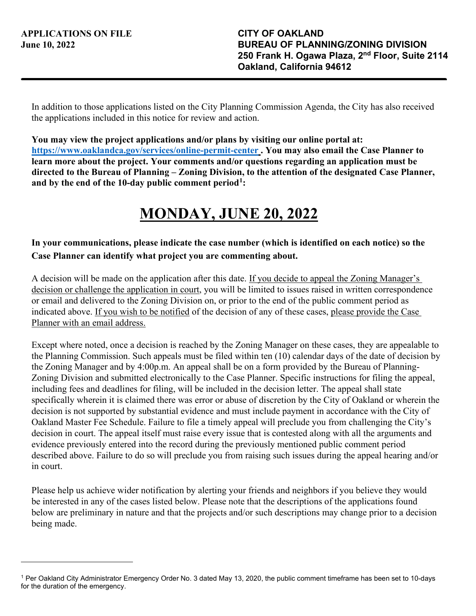In addition to those applications listed on the City Planning Commission Agenda, the City has also received the applications included in this notice for review and action.

**You may view the project applications and/or plans by visiting our online portal at: <https://www.oaklandca.gov/services/online-permit-center> . You may also email the Case Planner to learn more about the project. Your comments and/or questions regarding an application must be directed to the Bureau of Planning – Zoning Division, to the attention of the designated Case Planner, and by the end of the 10-day public comment period[1](#page-0-0):**

## **MONDAY, JUNE 20, 2022**

## **In your communications, please indicate the case number (which is identified on each notice) so the Case Planner can identify what project you are commenting about.**

A decision will be made on the application after this date. If you decide to appeal the Zoning Manager's decision or challenge the application in court, you will be limited to issues raised in written correspondence or email and delivered to the Zoning Division on, or prior to the end of the public comment period as indicated above. If you wish to be notified of the decision of any of these cases, please provide the Case Planner with an email address.

Except where noted, once a decision is reached by the Zoning Manager on these cases, they are appealable to the Planning Commission. Such appeals must be filed within ten (10) calendar days of the date of decision by the Zoning Manager and by 4:00p.m. An appeal shall be on a form provided by the Bureau of Planning-Zoning Division and submitted electronically to the Case Planner. Specific instructions for filing the appeal, including fees and deadlines for filing, will be included in the decision letter. The appeal shall state specifically wherein it is claimed there was error or abuse of discretion by the City of Oakland or wherein the decision is not supported by substantial evidence and must include payment in accordance with the City of Oakland Master Fee Schedule. Failure to file a timely appeal will preclude you from challenging the City's decision in court. The appeal itself must raise every issue that is contested along with all the arguments and evidence previously entered into the record during the previously mentioned public comment period described above. Failure to do so will preclude you from raising such issues during the appeal hearing and/or in court.

Please help us achieve wider notification by alerting your friends and neighbors if you believe they would be interested in any of the cases listed below. Please note that the descriptions of the applications found below are preliminary in nature and that the projects and/or such descriptions may change prior to a decision being made.

<span id="page-0-0"></span><sup>1</sup> Per Oakland City Administrator Emergency Order No. 3 dated May 13, 2020, the public comment timeframe has been set to 10-days for the duration of the emergency.